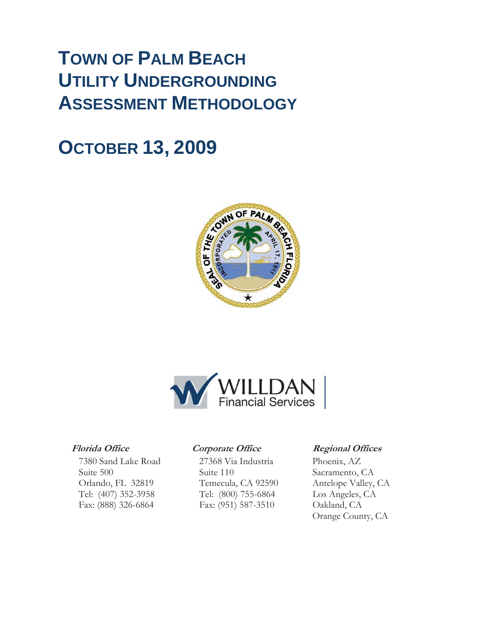### **TOWN OF PALM BEACH UTILITY UNDERGROUNDING ASSESSMENT METHODOLOGY**

### **OCTOBER 13, 2009**





7380 Sand Lake Road 27368 Via Industria Phoenix, AZ Suite 500 Suite 110 Sacramento, CA Orlando, FL 32819 Temecula, CA 92590 Antelope Valley, CA Tel: (407) 352-3958 Tel: (800) 755-6864 Los Angeles, CA Fax: (888) 326-6864 Fax: (951) 587-3510 Oakland, CA

#### **Florida Office Corporate Office Regional Offices**

Orange County, CA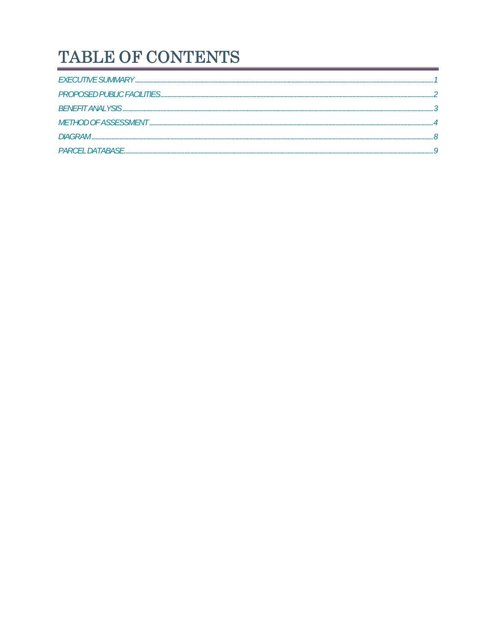### TABLE OF CONTENTS

| <b>DIAGRAM</b>   |  |
|------------------|--|
| PARCEL DATABASE. |  |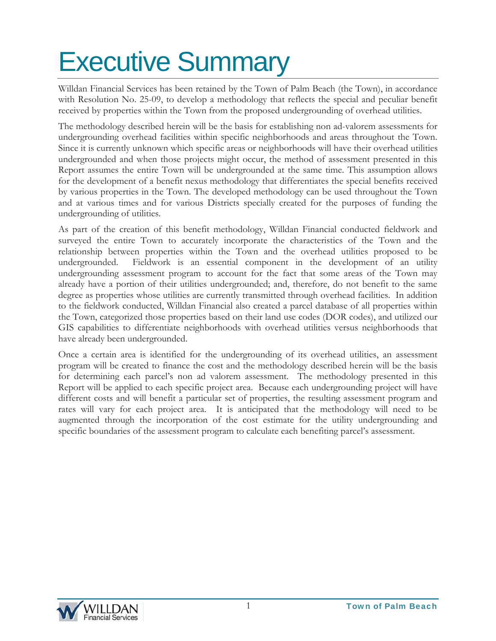# Executive Summary

Willdan Financial Services has been retained by the Town of Palm Beach (the Town), in accordance with Resolution No. 25-09, to develop a methodology that reflects the special and peculiar benefit received by properties within the Town from the proposed undergrounding of overhead utilities.

The methodology described herein will be the basis for establishing non ad-valorem assessments for undergrounding overhead facilities within specific neighborhoods and areas throughout the Town. Since it is currently unknown which specific areas or neighborhoods will have their overhead utilities undergrounded and when those projects might occur, the method of assessment presented in this Report assumes the entire Town will be undergrounded at the same time. This assumption allows for the development of a benefit nexus methodology that differentiates the special benefits received by various properties in the Town. The developed methodology can be used throughout the Town and at various times and for various Districts specially created for the purposes of funding the undergrounding of utilities.

As part of the creation of this benefit methodology, Willdan Financial conducted fieldwork and surveyed the entire Town to accurately incorporate the characteristics of the Town and the relationship between properties within the Town and the overhead utilities proposed to be undergrounded. Fieldwork is an essential component in the development of an utility undergrounding assessment program to account for the fact that some areas of the Town may already have a portion of their utilities undergrounded; and, therefore, do not benefit to the same degree as properties whose utilities are currently transmitted through overhead facilities. In addition to the fieldwork conducted, Willdan Financial also created a parcel database of all properties within the Town, categorized those properties based on their land use codes (DOR codes), and utilized our GIS capabilities to differentiate neighborhoods with overhead utilities versus neighborhoods that have already been undergrounded.

Once a certain area is identified for the undergrounding of its overhead utilities, an assessment program will be created to finance the cost and the methodology described herein will be the basis for determining each parcel's non ad valorem assessment. The methodology presented in this Report will be applied to each specific project area. Because each undergrounding project will have different costs and will benefit a particular set of properties, the resulting assessment program and rates will vary for each project area. It is anticipated that the methodology will need to be augmented through the incorporation of the cost estimate for the utility undergrounding and specific boundaries of the assessment program to calculate each benefiting parcel's assessment.

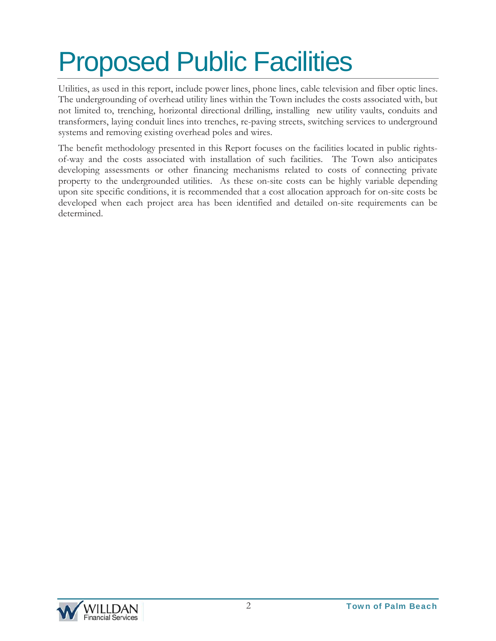# Proposed Public Facilities

Utilities, as used in this report, include power lines, phone lines, cable television and fiber optic lines. The undergrounding of overhead utility lines within the Town includes the costs associated with, but not limited to, trenching, horizontal directional drilling, installing new utility vaults, conduits and transformers, laying conduit lines into trenches, re-paving streets, switching services to underground systems and removing existing overhead poles and wires.

The benefit methodology presented in this Report focuses on the facilities located in public rightsof-way and the costs associated with installation of such facilities. The Town also anticipates developing assessments or other financing mechanisms related to costs of connecting private property to the undergrounded utilities. As these on-site costs can be highly variable depending upon site specific conditions, it is recommended that a cost allocation approach for on-site costs be developed when each project area has been identified and detailed on-site requirements can be determined.

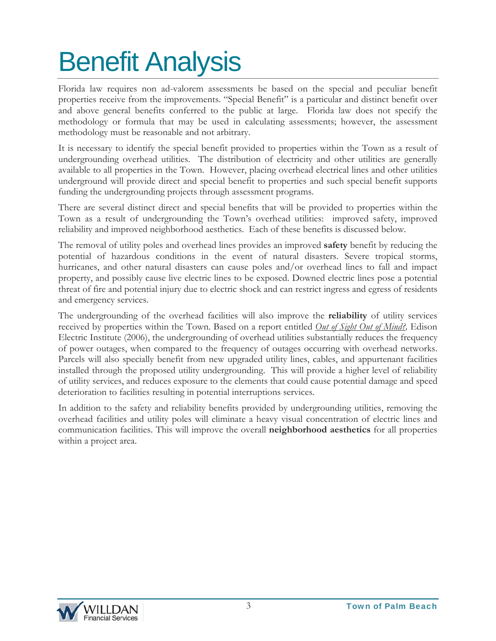# Benefit Analysis

Florida law requires non ad-valorem assessments be based on the special and peculiar benefit properties receive from the improvements. "Special Benefit" is a particular and distinct benefit over and above general benefits conferred to the public at large. Florida law does not specify the methodology or formula that may be used in calculating assessments; however, the assessment methodology must be reasonable and not arbitrary.

It is necessary to identify the special benefit provided to properties within the Town as a result of undergrounding overhead utilities. The distribution of electricity and other utilities are generally available to all properties in the Town. However, placing overhead electrical lines and other utilities underground will provide direct and special benefit to properties and such special benefit supports funding the undergrounding projects through assessment programs.

There are several distinct direct and special benefits that will be provided to properties within the Town as a result of undergrounding the Town's overhead utilities: improved safety, improved reliability and improved neighborhood aesthetics. Each of these benefits is discussed below.

The removal of utility poles and overhead lines provides an improved **safety** benefit by reducing the potential of hazardous conditions in the event of natural disasters. Severe tropical storms, hurricanes, and other natural disasters can cause poles and/or overhead lines to fall and impact property, and possibly cause live electric lines to be exposed. Downed electric lines pose a potential threat of fire and potential injury due to electric shock and can restrict ingress and egress of residents and emergency services.

The undergrounding of the overhead facilities will also improve the **reliability** of utility services received by properties within the Town. Based on a report entitled *Out of Sight Out of Mind?,* Edison Electric Institute (2006), the undergrounding of overhead utilities substantially reduces the frequency of power outages, when compared to the frequency of outages occurring with overhead networks. Parcels will also specially benefit from new upgraded utility lines, cables, and appurtenant facilities installed through the proposed utility undergrounding. This will provide a higher level of reliability of utility services, and reduces exposure to the elements that could cause potential damage and speed deterioration to facilities resulting in potential interruptions services.

In addition to the safety and reliability benefits provided by undergrounding utilities, removing the overhead facilities and utility poles will eliminate a heavy visual concentration of electric lines and communication facilities. This will improve the overall **neighborhood aesthetics** for all properties within a project area.

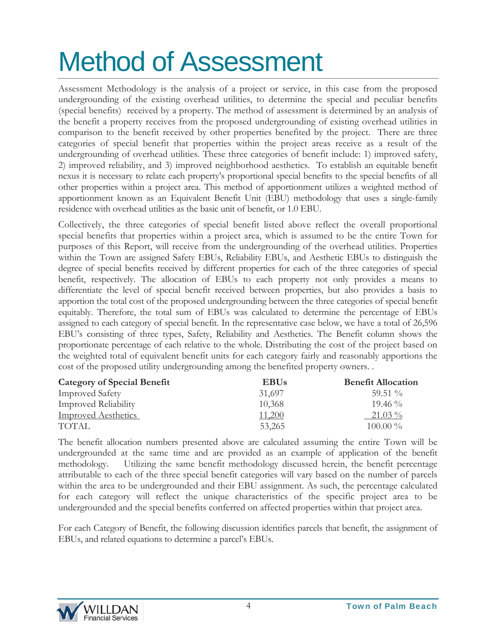# Method of Assessment

Assessment Methodology is the analysis of a project or service, in this case from the proposed undergrounding of the existing overhead utilities, to determine the special and peculiar benefits (special benefits) received by a property. The method of assessment is determined by an analysis of the benefit a property receives from the proposed undergrounding of existing overhead utilities in comparison to the benefit received by other properties benefited by the project. There are three categories of special benefit that properties within the project areas receive as a result of the undergrounding of overhead utilities. These three categories of benefit include: 1) improved safety, 2) improved reliability, and 3) improved neighborhood aesthetics. To establish an equitable benefit nexus it is necessary to relate each property's proportional special benefits to the special benefits of all other properties within a project area. This method of apportionment utilizes a weighted method of apportionment known as an Equivalent Benefit Unit (EBU) methodology that uses a single-family residence with overhead utilities as the basic unit of benefit, or 1.0 EBU.

Collectively, the three categories of special benefit listed above reflect the overall proportional special benefits that properties within a project area, which is assumed to be the entire Town for purposes of this Report, will receive from the undergrounding of the overhead utilities. Properties within the Town are assigned Safety EBUs, Reliability EBUs, and Aesthetic EBUs to distinguish the degree of special benefits received by different properties for each of the three categories of special benefit, respectively. The allocation of EBUs to each property not only provides a means to differentiate the level of special benefit received between properties, but also provides a basis to apportion the total cost of the proposed undergrounding between the three categories of special benefit equitably. Therefore, the total sum of EBUs was calculated to determine the percentage of EBUs assigned to each category of special benefit. In the representative case below, we have a total of 26,596 EBU's consisting of three types, Safety, Reliability and Aesthetics. The Benefit column shows the proportionate percentage of each relative to the whole. Distributing the cost of the project based on the weighted total of equivalent benefit units for each category fairly and reasonably apportions the cost of the proposed utility undergrounding among the benefited property owners. .

| <b>Category of Special Benefit</b> | <b>EBUs</b>   | <b>Benefit Allocation</b> |
|------------------------------------|---------------|---------------------------|
| <b>Improved Safety</b>             | 31,697        | $59.51\%$                 |
| <b>Improved Reliability</b>        | 10,368        | $19.46\%$                 |
| <b>Improved Aesthetics</b>         | <u>11,200</u> | $21.03\%$                 |
| <b>TOTAL</b>                       | 53,265        | $100.00\%$                |

The benefit allocation numbers presented above are calculated assuming the entire Town will be undergrounded at the same time and are provided as an example of application of the benefit methodology. Utilizing the same benefit methodology discussed herein, the benefit percentage attributable to each of the three special benefit categories will vary based on the number of parcels within the area to be undergrounded and their EBU assignment. As such, the percentage calculated for each category will reflect the unique characteristics of the specific project area to be undergrounded and the special benefits conferred on affected properties within that project area.

For each Category of Benefit, the following discussion identifies parcels that benefit, the assignment of EBUs, and related equations to determine a parcel's EBUs.

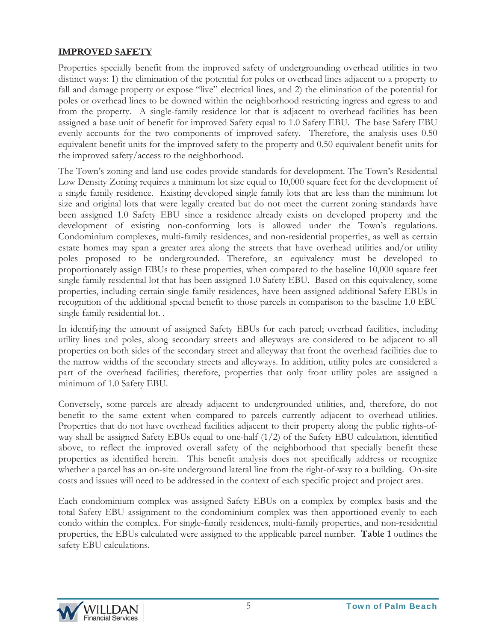#### **IMPROVED SAFETY**

Properties specially benefit from the improved safety of undergrounding overhead utilities in two distinct ways: 1) the elimination of the potential for poles or overhead lines adjacent to a property to fall and damage property or expose "live" electrical lines, and 2) the elimination of the potential for poles or overhead lines to be downed within the neighborhood restricting ingress and egress to and from the property. A single-family residence lot that is adjacent to overhead facilities has been assigned a base unit of benefit for improved Safety equal to 1.0 Safety EBU. The base Safety EBU evenly accounts for the two components of improved safety. Therefore, the analysis uses 0.50 equivalent benefit units for the improved safety to the property and 0.50 equivalent benefit units for the improved safety/access to the neighborhood.

The Town's zoning and land use codes provide standards for development. The Town's Residential Low Density Zoning requires a minimum lot size equal to 10,000 square feet for the development of a single family residence. Existing developed single family lots that are less than the minimum lot size and original lots that were legally created but do not meet the current zoning standards have been assigned 1.0 Safety EBU since a residence already exists on developed property and the development of existing non-conforming lots is allowed under the Town's regulations. Condominium complexes, multi-family residences, and non-residential properties, as well as certain estate homes may span a greater area along the streets that have overhead utilities and/or utility poles proposed to be undergrounded. Therefore, an equivalency must be developed to proportionately assign EBUs to these properties, when compared to the baseline 10,000 square feet single family residential lot that has been assigned 1.0 Safety EBU. Based on this equivalency, some properties, including certain single-family residences, have been assigned additional Safety EBUs in recognition of the additional special benefit to those parcels in comparison to the baseline 1.0 EBU single family residential lot. .

In identifying the amount of assigned Safety EBUs for each parcel; overhead facilities, including utility lines and poles, along secondary streets and alleyways are considered to be adjacent to all properties on both sides of the secondary street and alleyway that front the overhead facilities due to the narrow widths of the secondary streets and alleyways. In addition, utility poles are considered a part of the overhead facilities; therefore, properties that only front utility poles are assigned a minimum of 1.0 Safety EBU.

Conversely, some parcels are already adjacent to undergrounded utilities, and, therefore, do not benefit to the same extent when compared to parcels currently adjacent to overhead utilities. Properties that do not have overhead facilities adjacent to their property along the public rights-ofway shall be assigned Safety EBUs equal to one-half  $(1/2)$  of the Safety EBU calculation, identified above, to reflect the improved overall safety of the neighborhood that specially benefit these properties as identified herein. This benefit analysis does not specifically address or recognize whether a parcel has an on-site underground lateral line from the right-of-way to a building. On-site costs and issues will need to be addressed in the context of each specific project and project area.

Each condominium complex was assigned Safety EBUs on a complex by complex basis and the total Safety EBU assignment to the condominium complex was then apportioned evenly to each condo within the complex. For single-family residences, multi-family properties, and non-residential properties, the EBUs calculated were assigned to the applicable parcel number. **Table 1** outlines the safety EBU calculations.

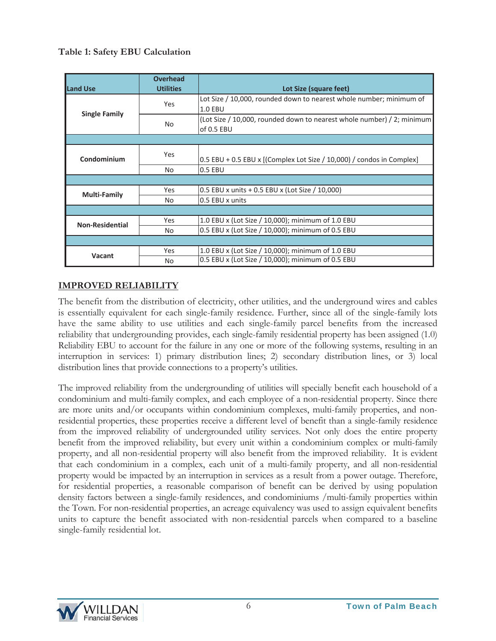#### **Table 1: Safety EBU Calculation**

| <b>Land Use</b>        | <b>Overhead</b><br><b>Utilities</b> | Lot Size (square feet)                                                                |
|------------------------|-------------------------------------|---------------------------------------------------------------------------------------|
| <b>Single Family</b>   | <b>Yes</b>                          | Lot Size / 10,000, rounded down to nearest whole number; minimum of<br><b>1.0 EBU</b> |
|                        | <b>No</b>                           | (Lot Size / 10,000, rounded down to nearest whole number) / 2; minimum<br>of 0.5 EBU  |
|                        |                                     |                                                                                       |
| Condominium            | <b>Yes</b>                          | $0.5$ EBU + 0.5 EBU x [(Complex Lot Size / 10,000) / condos in Complex]               |
|                        | <b>No</b>                           | 0.5 EBU                                                                               |
|                        |                                     |                                                                                       |
| <b>Multi-Family</b>    | Yes                                 | 0.5 EBU x units + 0.5 EBU x (Lot Size / 10,000)                                       |
|                        | No                                  | 0.5 EBU x units                                                                       |
|                        |                                     |                                                                                       |
| <b>Non-Residential</b> | Yes                                 | 1.0 EBU x (Lot Size / 10,000); minimum of 1.0 EBU                                     |
|                        | <b>No</b>                           | 0.5 EBU x (Lot Size / 10,000); minimum of 0.5 EBU                                     |
|                        |                                     |                                                                                       |
| Vacant                 | Yes                                 | 1.0 EBU x (Lot Size / 10,000); minimum of 1.0 EBU                                     |
|                        | No                                  | 0.5 EBU x (Lot Size / 10,000); minimum of 0.5 EBU                                     |

### **IMPROVED RELIABILITY**

The benefit from the distribution of electricity, other utilities, and the underground wires and cables is essentially equivalent for each single-family residence. Further, since all of the single-family lots have the same ability to use utilities and each single-family parcel benefits from the increased reliability that undergrounding provides, each single-family residential property has been assigned (1.0) Reliability EBU to account for the failure in any one or more of the following systems, resulting in an interruption in services: 1) primary distribution lines; 2) secondary distribution lines, or 3) local distribution lines that provide connections to a property's utilities.

The improved reliability from the undergrounding of utilities will specially benefit each household of a condominium and multi-family complex, and each employee of a non-residential property. Since there are more units and/or occupants within condominium complexes, multi-family properties, and nonresidential properties, these properties receive a different level of benefit than a single-family residence from the improved reliability of undergrounded utility services. Not only does the entire property benefit from the improved reliability, but every unit within a condominium complex or multi-family property, and all non-residential property will also benefit from the improved reliability. It is evident that each condominium in a complex, each unit of a multi-family property, and all non-residential property would be impacted by an interruption in services as a result from a power outage. Therefore, for residential properties, a reasonable comparison of benefit can be derived by using population density factors between a single-family residences, and condominiums /multi-family properties within the Town. For non-residential properties, an acreage equivalency was used to assign equivalent benefits units to capture the benefit associated with non-residential parcels when compared to a baseline single-family residential lot.

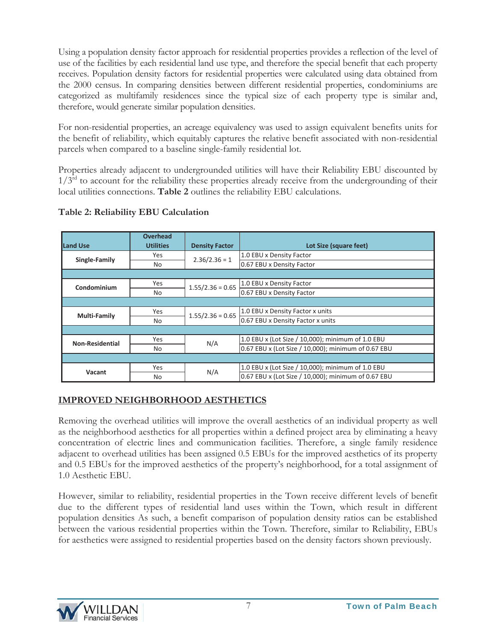Using a population density factor approach for residential properties provides a reflection of the level of use of the facilities by each residential land use type, and therefore the special benefit that each property receives. Population density factors for residential properties were calculated using data obtained from the 2000 census. In comparing densities between different residential properties, condominiums are categorized as multifamily residences since the typical size of each property type is similar and, therefore, would generate similar population densities.

For non-residential properties, an acreage equivalency was used to assign equivalent benefits units for the benefit of reliability, which equitably captures the relative benefit associated with non-residential parcels when compared to a baseline single-family residential lot.

Properties already adjacent to undergrounded utilities will have their Reliability EBU discounted by  $1/3<sup>rd</sup>$  to account for the reliability these properties already receive from the undergrounding of their local utilities connections. **Table 2** outlines the reliability EBU calculations.

| Land Use               | <b>Overhead</b><br><b>Utilities</b> | <b>Density Factor</b> | Lot Size (square feet)                              |  |  |
|------------------------|-------------------------------------|-----------------------|-----------------------------------------------------|--|--|
|                        | Yes                                 | $2.36/2.36 = 1$       | 1.0 EBU x Density Factor                            |  |  |
| Single-Family          | <b>No</b>                           |                       | 0.67 EBU x Density Factor                           |  |  |
|                        |                                     |                       |                                                     |  |  |
| Condominium            | Yes                                 | $1.55/2.36 = 0.65$    | 1.0 EBU x Density Factor                            |  |  |
|                        | No.                                 |                       | 0.67 EBU x Density Factor                           |  |  |
|                        |                                     |                       |                                                     |  |  |
| <b>Multi-Family</b>    | Yes                                 | $1.55/2.36 = 0.65$    | 1.0 EBU x Density Factor x units                    |  |  |
|                        | <b>No</b>                           |                       | 0.67 EBU x Density Factor x units                   |  |  |
|                        |                                     |                       |                                                     |  |  |
| <b>Non-Residential</b> | Yes                                 | N/A                   | 1.0 EBU x (Lot Size / 10,000); minimum of 1.0 EBU   |  |  |
|                        | <b>No</b>                           |                       | 0.67 EBU x (Lot Size / 10,000); minimum of 0.67 EBU |  |  |
|                        |                                     |                       |                                                     |  |  |
| Vacant                 | Yes                                 | N/A                   | 1.0 EBU x (Lot Size / 10,000); minimum of 1.0 EBU   |  |  |
|                        | No                                  |                       | 0.67 EBU x (Lot Size / 10,000); minimum of 0.67 EBU |  |  |

### **Table 2: Reliability EBU Calculation**

### **IMPROVED NEIGHBORHOOD AESTHETICS**

Removing the overhead utilities will improve the overall aesthetics of an individual property as well as the neighborhood aesthetics for all properties within a defined project area by eliminating a heavy concentration of electric lines and communication facilities. Therefore, a single family residence adjacent to overhead utilities has been assigned 0.5 EBUs for the improved aesthetics of its property and 0.5 EBUs for the improved aesthetics of the property's neighborhood, for a total assignment of 1.0 Aesthetic EBU.

However, similar to reliability, residential properties in the Town receive different levels of benefit due to the different types of residential land uses within the Town, which result in different population densities As such, a benefit comparison of population density ratios can be established between the various residential properties within the Town. Therefore, similar to Reliability, EBUs for aesthetics were assigned to residential properties based on the density factors shown previously.

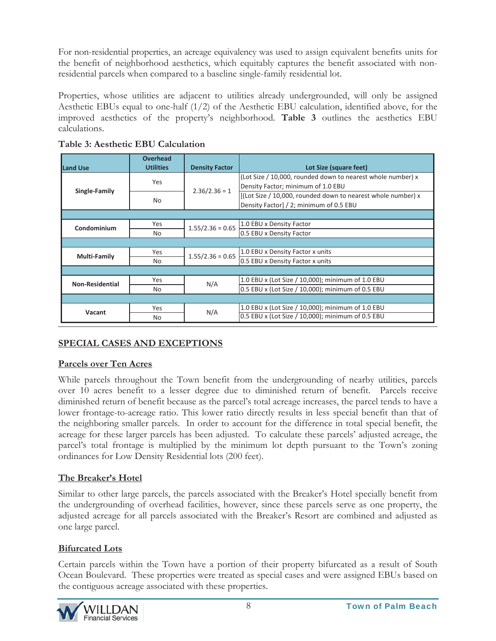For non-residential properties, an acreage equivalency was used to assign equivalent benefits units for the benefit of neighborhood aesthetics, which equitably captures the benefit associated with nonresidential parcels when compared to a baseline single-family residential lot.

Properties, whose utilities are adjacent to utilities already undergrounded, will only be assigned Aesthetic EBUs equal to one-half (1/2) of the Aesthetic EBU calculation, identified above, for the improved aesthetics of the property's neighborhood. **Table 3** outlines the aesthetics EBU calculations.

| <b>Land Use</b>        | <b>Overhead</b><br><b>Utilities</b> | <b>Density Factor</b> | Lot Size (square feet)                                       |
|------------------------|-------------------------------------|-----------------------|--------------------------------------------------------------|
| Single-Family          | Yes                                 | $2.36/2.36 = 1$       | (Lot Size / 10,000, rounded down to nearest whole number) x  |
|                        |                                     |                       | Density Factor; minimum of 1.0 EBU                           |
|                        | <b>No</b>                           |                       | [(Lot Size / 10,000, rounded down to nearest whole number) x |
|                        |                                     |                       | Density Factor] / 2; minimum of 0.5 EBU                      |
|                        |                                     |                       |                                                              |
| Condominium            | Yes                                 | $1.55/2.36 = 0.65$    | 1.0 EBU x Density Factor                                     |
|                        | No.                                 |                       | 0.5 EBU x Density Factor                                     |
|                        |                                     |                       |                                                              |
| Multi-Family           | Yes                                 | $1.55/2.36 = 0.65$    | 1.0 EBU x Density Factor x units                             |
|                        | N <sub>o</sub>                      |                       | 0.5 EBU x Density Factor x units                             |
|                        |                                     |                       |                                                              |
| <b>Non-Residential</b> | Yes                                 | N/A                   | 1.0 EBU x (Lot Size / 10,000); minimum of 1.0 EBU            |
|                        | No.                                 |                       | 0.5 EBU x (Lot Size / 10,000); minimum of 0.5 EBU            |
|                        |                                     |                       |                                                              |
| Vacant                 | Yes                                 | N/A                   | 1.0 EBU x (Lot Size / 10,000); minimum of 1.0 EBU            |
|                        | <b>No</b>                           |                       | 0.5 EBU x (Lot Size / 10,000); minimum of 0.5 EBU            |

| Table 3: Aesthetic EBU Calculation |  |
|------------------------------------|--|
|------------------------------------|--|

### **SPECIAL CASES AND EXCEPTIONS**

### **Parcels over Ten Acres**

While parcels throughout the Town benefit from the undergrounding of nearby utilities, parcels over 10 acres benefit to a lesser degree due to diminished return of benefit. Parcels receive diminished return of benefit because as the parcel's total acreage increases, the parcel tends to have a lower frontage-to-acreage ratio. This lower ratio directly results in less special benefit than that of the neighboring smaller parcels. In order to account for the difference in total special benefit, the acreage for these larger parcels has been adjusted. To calculate these parcels' adjusted acreage, the parcel's total frontage is multiplied by the minimum lot depth pursuant to the Town's zoning ordinances for Low Density Residential lots (200 feet).

### **The Breaker's Hotel**

Similar to other large parcels, the parcels associated with the Breaker's Hotel specially benefit from the undergrounding of overhead facilities, however, since these parcels serve as one property, the adjusted acreage for all parcels associated with the Breaker's Resort are combined and adjusted as one large parcel.

### **Bifurcated Lots**

Certain parcels within the Town have a portion of their property bifurcated as a result of South Ocean Boulevard. These properties were treated as special cases and were assigned EBUs based on the contiguous acreage associated with these properties.

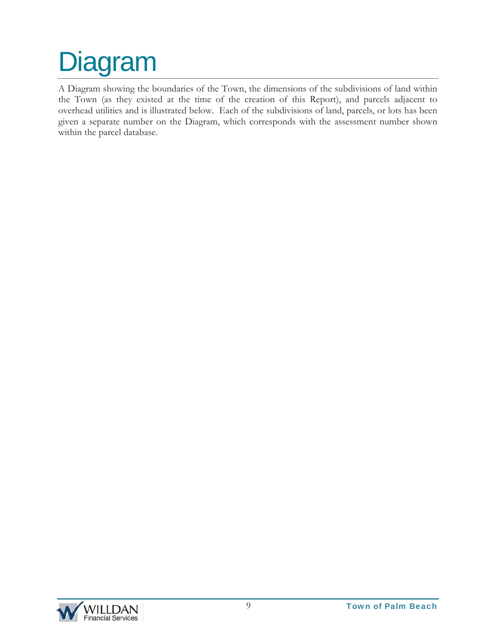## Diagram

A Diagram showing the boundaries of the Town, the dimensions of the subdivisions of land within the Town (as they existed at the time of the creation of this Report), and parcels adjacent to overhead utilities and is illustrated below. Each of the subdivisions of land, parcels, or lots has been given a separate number on the Diagram, which corresponds with the assessment number shown within the parcel database.

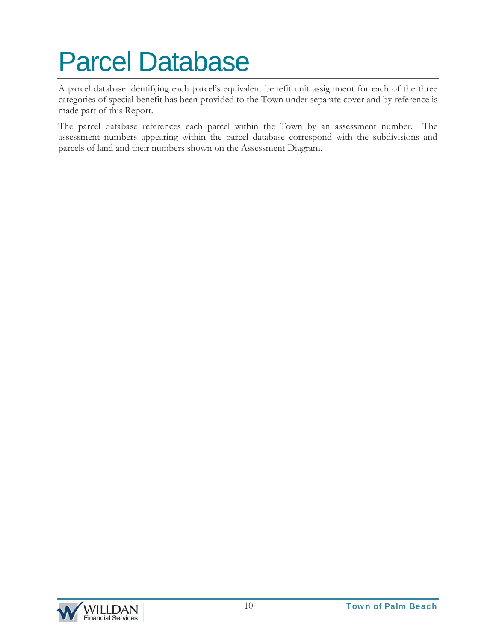## Parcel Database

A parcel database identifying each parcel's equivalent benefit unit assignment for each of the three categories of special benefit has been provided to the Town under separate cover and by reference is made part of this Report.

The parcel database references each parcel within the Town by an assessment number. The assessment numbers appearing within the parcel database correspond with the subdivisions and parcels of land and their numbers shown on the Assessment Diagram.

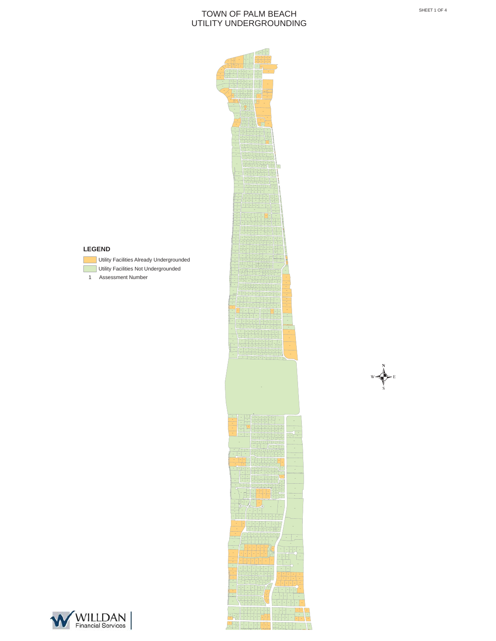

**<sup>1936</sup> <sup>1935</sup> <sup>1934</sup>**

**<sup>1922</sup> <sup>1940</sup>**

**<sup>1916</sup>**

**<sup>1925</sup>**

**<sup>1928</sup>**

**<sup>1904</sup> <sup>1907</sup>**



- Utility Facilities Already Undergrounded
- 
- Assessment Number

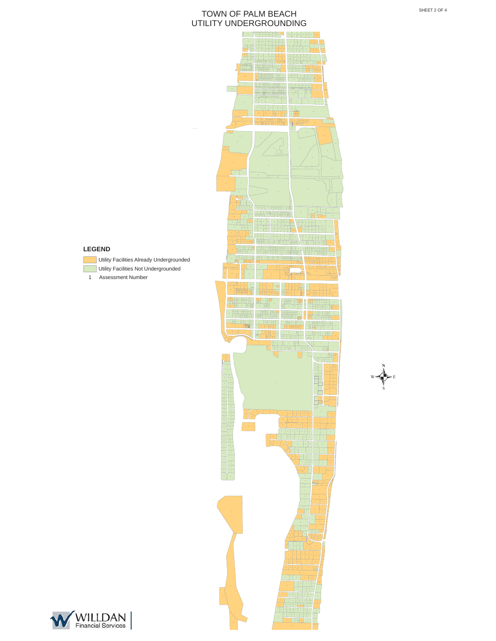



- Utility Facilities Already Undergrounded
- **Utility Facilities Not Undergrounded**
- Assessment Number





.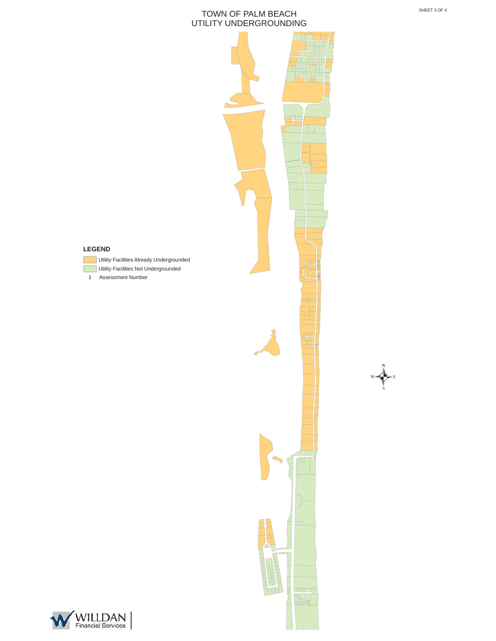

### WILLDAN

**LEGEND**

1 Assessment Number

 $\bigvee_{w} \bigotimes_{E} E$